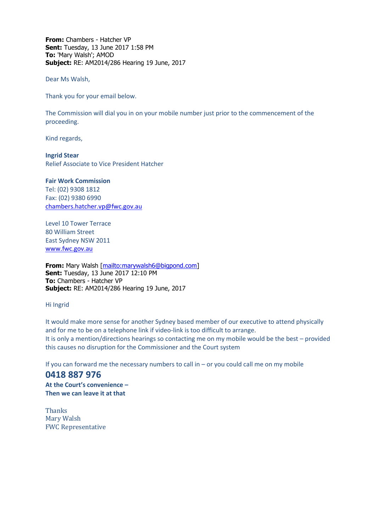**From:** Chambers - Hatcher VP **Sent:** Tuesday, 13 June 2017 1:58 PM **To:** 'Mary Walsh'; AMOD **Subject:** RE: AM2014/286 Hearing 19 June, 2017

Dear Ms Walsh,

Thank you for your email below.

The Commission will dial you in on your mobile number just prior to the commencement of the proceeding.

Kind regards,

**Ingrid Stear** Relief Associate to Vice President Hatcher

**Fair Work Commission**  Tel: (02) 9308 1812 Fax: (02) 9380 6990 [chambers.hatcher.vp@fwc.gov.au](mailto:chambers.hatcher.vp@fwc.gov.au) 

Level 10 Tower Terrace 80 William Street East Sydney NSW 2011 [www.fwc.gov.au](http://www.fwc.gov.au/)

**From:** Mary Walsh [\[mailto:marywalsh6@bigpond.com\]](mailto:marywalsh6@bigpond.com) **Sent:** Tuesday, 13 June 2017 12:10 PM **To:** Chambers - Hatcher VP **Subject:** RE: AM2014/286 Hearing 19 June, 2017

Hi Ingrid

It would make more sense for another Sydney based member of our executive to attend physically and for me to be on a telephone link if video-link is too difficult to arrange. It is only a mention/directions hearings so contacting me on my mobile would be the best – provided this causes no disruption for the Commissioner and the Court system

If you can forward me the necessary numbers to call in – or you could call me on my mobile

**0418 887 976 At the Court's convenience – Then we can leave it at that** 

**Thanks** Mary Walsh FWC Representative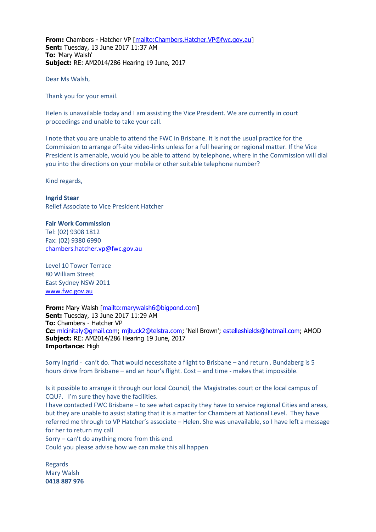**From:** Chambers - Hatcher VP [\[mailto:Chambers.Hatcher.VP@fwc.gov.au\]](mailto:Chambers.Hatcher.VP@fwc.gov.au) **Sent:** Tuesday, 13 June 2017 11:37 AM **To:** 'Mary Walsh' **Subject:** RE: AM2014/286 Hearing 19 June, 2017

Dear Ms Walsh,

Thank you for your email.

Helen is unavailable today and I am assisting the Vice President. We are currently in court proceedings and unable to take your call.

I note that you are unable to attend the FWC in Brisbane. It is not the usual practice for the Commission to arrange off-site video-links unless for a full hearing or regional matter. If the Vice President is amenable, would you be able to attend by telephone, where in the Commission will dial you into the directions on your mobile or other suitable telephone number?

Kind regards,

**Ingrid Stear** Relief Associate to Vice President Hatcher

**Fair Work Commission**  Tel: (02) 9308 1812 Fax: (02) 9380 6990 [chambers.hatcher.vp@fwc.gov.au](mailto:chambers.hatcher.vp@fwc.gov.au) 

Level 10 Tower Terrace 80 William Street East Sydney NSW 2011 [www.fwc.gov.au](http://www.fwc.gov.au/)

**From:** Mary Walsh [\[mailto:marywalsh6@bigpond.com\]](mailto:marywalsh6@bigpond.com) **Sent:** Tuesday, 13 June 2017 11:29 AM **To:** Chambers - Hatcher VP **Cc:** [mlcinitaly@gmail.com;](mailto:mlcinitaly@gmail.com) [mjbuck2@telstra.com;](mailto:mjbuck2@telstra.com) 'Nell Brown'; [estelleshields@hotmail.com;](mailto:estelleshields@hotmail.com) AMOD **Subject:** RE: AM2014/286 Hearing 19 June, 2017 **Importance:** High

Sorry Ingrid - can't do. That would necessitate a flight to Brisbane – and return . Bundaberg is 5 hours drive from Brisbane – and an hour's flight. Cost – and time - makes that impossible.

Is it possible to arrange it through our local Council, the Magistrates court or the local campus of CQU?. I'm sure they have the facilities.

I have contacted FWC Brisbane – to see what capacity they have to service regional Cities and areas, but they are unable to assist stating that it is a matter for Chambers at National Level. They have referred me through to VP Hatcher's associate – Helen. She was unavailable, so I have left a message for her to return my call

Sorry – can't do anything more from this end.

Could you please advise how we can make this all happen

Regards Mary Walsh **0418 887 976**